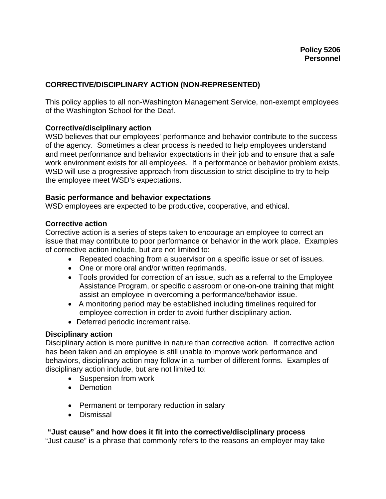## **CORRECTIVE/DISCIPLINARY ACTION (NON-REPRESENTED)**

This policy applies to all non-Washington Management Service, non-exempt employees of the Washington School for the Deaf.

## **Corrective/disciplinary action**

WSD believes that our employees' performance and behavior contribute to the success of the agency. Sometimes a clear process is needed to help employees understand and meet performance and behavior expectations in their job and to ensure that a safe work environment exists for all employees. If a performance or behavior problem exists, WSD will use a progressive approach from discussion to strict discipline to try to help the employee meet WSD's expectations.

#### **Basic performance and behavior expectations**

WSD employees are expected to be productive, cooperative, and ethical.

#### **Corrective action**

Corrective action is a series of steps taken to encourage an employee to correct an issue that may contribute to poor performance or behavior in the work place. Examples of corrective action include, but are not limited to:

- Repeated coaching from a supervisor on a specific issue or set of issues.
- One or more oral and/or written reprimands.
- Tools provided for correction of an issue, such as a referral to the Employee Assistance Program, or specific classroom or one-on-one training that might assist an employee in overcoming a performance/behavior issue.
- A monitoring period may be established including timelines required for employee correction in order to avoid further disciplinary action.
- Deferred periodic increment raise.

#### **Disciplinary action**

Disciplinary action is more punitive in nature than corrective action. If corrective action has been taken and an employee is still unable to improve work performance and behaviors, disciplinary action may follow in a number of different forms. Examples of disciplinary action include, but are not limited to:

- Suspension from work
- Demotion
- Permanent or temporary reduction in salary
- Dismissal

#### **"Just cause" and how does it fit into the corrective/disciplinary process**

"Just cause" is a phrase that commonly refers to the reasons an employer may take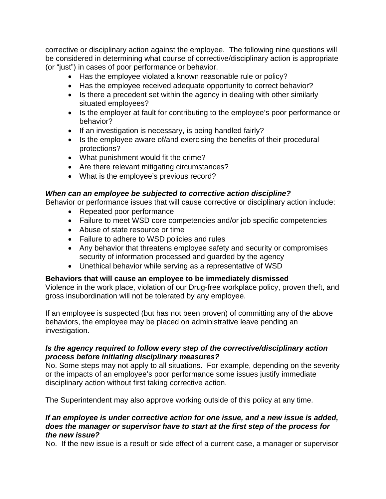corrective or disciplinary action against the employee. The following nine questions will be considered in determining what course of corrective/disciplinary action is appropriate (or "just") in cases of poor performance or behavior.

- Has the employee violated a known reasonable rule or policy?
- Has the employee received adequate opportunity to correct behavior?
- Is there a precedent set within the agency in dealing with other similarly situated employees?
- Is the employer at fault for contributing to the employee's poor performance or behavior?
- If an investigation is necessary, is being handled fairly?
- Is the employee aware of/and exercising the benefits of their procedural protections?
- What punishment would fit the crime?
- Are there relevant mitigating circumstances?
- What is the employee's previous record?

## *When can an employee be subjected to corrective action discipline?*

Behavior or performance issues that will cause corrective or disciplinary action include:

- Repeated poor performance
- Failure to meet WSD core competencies and/or job specific competencies
- Abuse of state resource or time
- Failure to adhere to WSD policies and rules
- Any behavior that threatens employee safety and security or compromises security of information processed and guarded by the agency
- Unethical behavior while serving as a representative of WSD

## **Behaviors that will cause an employee to be immediately dismissed**

Violence in the work place, violation of our Drug-free workplace policy, proven theft, and gross insubordination will not be tolerated by any employee.

If an employee is suspected (but has not been proven) of committing any of the above behaviors, the employee may be placed on administrative leave pending an investigation.

## *Is the agency required to follow every step of the corrective/disciplinary action process before initiating disciplinary measures?*

No. Some steps may not apply to all situations. For example, depending on the severity or the impacts of an employee's poor performance some issues justify immediate disciplinary action without first taking corrective action.

The Superintendent may also approve working outside of this policy at any time.

## *If an employee is under corrective action for one issue, and a new issue is added, does the manager or supervisor have to start at the first step of the process for the new issue?*

No. If the new issue is a result or side effect of a current case, a manager or supervisor